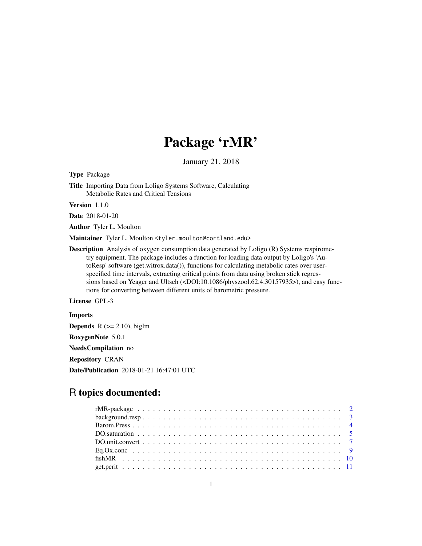# Package 'rMR'

January 21, 2018

<span id="page-0-0"></span>Type Package

Title Importing Data from Loligo Systems Software, Calculating Metabolic Rates and Critical Tensions

Version 1.1.0

Date 2018-01-20

Author Tyler L. Moulton

Maintainer Tyler L. Moulton <tyler.moulton@cortland.edu>

Description Analysis of oxygen consumption data generated by Loligo (R) Systems respirometry equipment. The package includes a function for loading data output by Loligo's 'AutoResp' software (get.witrox.data()), functions for calculating metabolic rates over userspecified time intervals, extracting critical points from data using broken stick regressions based on Yeager and Ultsch (<DOI:10.1086/physzool.62.4.30157935>), and easy functions for converting between different units of barometric pressure.

License GPL-3

Imports **Depends**  $R$  ( $>= 2.10$ ), biglm RoxygenNote 5.0.1 NeedsCompilation no Repository CRAN Date/Publication 2018-01-21 16:47:01 UTC

# R topics documented: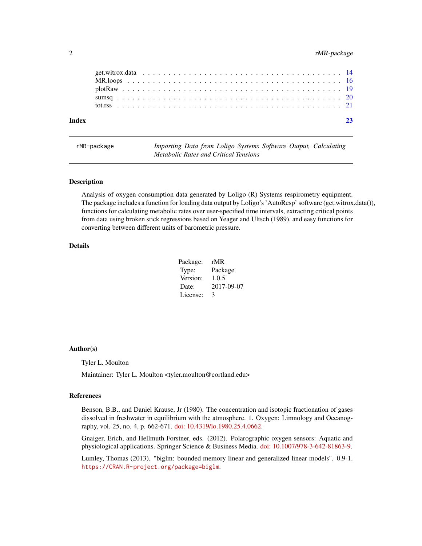# <span id="page-1-0"></span>2 rMR-package

rMR-package *Importing Data from Loligo Systems Software Output, Calculating Metabolic Rates and Critical Tensions*

# **Description**

Analysis of oxygen consumption data generated by Loligo (R) Systems respirometry equipment. The package includes a function for loading data output by Loligo's 'AutoResp' software (get.witrox.data()), functions for calculating metabolic rates over user-specified time intervals, extracting critical points from data using broken stick regressions based on Yeager and Ultsch (1989), and easy functions for converting between different units of barometric pressure.

# Details

| Package: | rMR        |
|----------|------------|
| Type:    | Package    |
| Version: | 1.0.5      |
| Date:    | 2017-09-07 |
| License: | 3          |

#### Author(s)

Tyler L. Moulton

Maintainer: Tyler L. Moulton <tyler.moulton@cortland.edu>

#### References

Benson, B.B., and Daniel Krause, Jr (1980). The concentration and isotopic fractionation of gases dissolved in freshwater in equilibrium with the atmosphere. 1. Oxygen: Limnology and Oceanography, vol. 25, no. 4, p. 662-671. [doi: 10.4319/lo.1980.25.4.0662.](http://doi.org/10.4319/lo.1980.25.4.0662)

Gnaiger, Erich, and Hellmuth Forstner, eds. (2012). Polarographic oxygen sensors: Aquatic and physiological applications. Springer Science & Business Media. [doi: 10.1007/978-3-642-81863-9.](http://doi.org/10.1007/978-3-642-81863-9)

Lumley, Thomas (2013). "biglm: bounded memory linear and generalized linear models". 0.9-1. <https://CRAN.R-project.org/package=biglm>.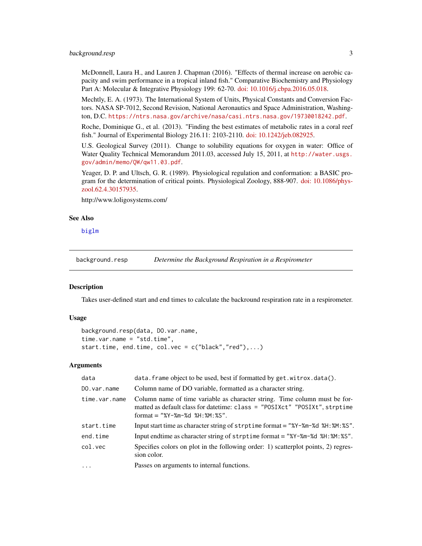# <span id="page-2-0"></span>background.resp 3

McDonnell, Laura H., and Lauren J. Chapman (2016). "Effects of thermal increase on aerobic capacity and swim performance in a tropical inland fish." Comparative Biochemistry and Physiology Part A: Molecular & Integrative Physiology 199: 62-70. [doi: 10.1016/j.cbpa.2016.05.018.](http://doi.org/10.1016/j.cbpa.2016.05.018)

Mechtly, E. A. (1973). The International System of Units, Physical Constants and Conversion Factors. NASA SP-7012, Second Revision, National Aeronautics and Space Administration, Washington, D.C. <https://ntrs.nasa.gov/archive/nasa/casi.ntrs.nasa.gov/19730018242.pdf>.

Roche, Dominique G., et al. (2013). "Finding the best estimates of metabolic rates in a coral reef fish." Journal of Experimental Biology 216.11: 2103-2110. [doi: 10.1242/jeb.082925.](http://doi.org/10.1242/jeb.082925)

U.S. Geological Survey (2011). Change to solubility equations for oxygen in water: Office of Water Quality Technical Memorandum 2011.03, accessed July 15, 2011, at [http://water.usgs.](http://water.usgs.gov/admin/memo/QW/qw11.03.pdf) [gov/admin/memo/QW/qw11.03.pdf](http://water.usgs.gov/admin/memo/QW/qw11.03.pdf).

Yeager, D. P. and Ultsch, G. R. (1989). Physiological regulation and conformation: a BASIC program for the determination of critical points. Physiological Zoology, 888-907. [doi: 10.1086/phys](http://doi.org/10.1086/physzool.62.4.30157935)[zool.62.4.30157935.](http://doi.org/10.1086/physzool.62.4.30157935)

http://www.loligosystems.com/

#### See Also

[biglm](#page-0-0)

<span id="page-2-1"></span>background.resp *Determine the Background Respiration in a Respirometer*

#### Description

Takes user-defined start and end times to calculate the backround respiration rate in a respirometer.

#### Usage

```
background.resp(data, DO.var.name,
time.var.name = "std.time",
start.time, end.time, col.vec = c("black", "red"),...)
```

| data          | data. frame object to be used, best if formatted by get. witrox.data().                                                                                                                      |
|---------------|----------------------------------------------------------------------------------------------------------------------------------------------------------------------------------------------|
| DO.var.name   | Column name of DO variable, formatted as a character string.                                                                                                                                 |
| time.var.name | Column name of time variable as character string. Time column must be for-<br>matted as default class for date time: class = "POSIXct" "POSIXt", strptime<br>format = "%Y-%m-%d %H: %M: %S". |
| start.time    | Input start time as character string of strptime format = "% $Y$ -% $m$ -%d %H:% $M$ :%S".                                                                                                   |
| end.time      | Input endtime as character string of strptime format $=$ "%Y-%m-%d %H:%M:%S".                                                                                                                |
| col.vec       | Specifies colors on plot in the following order: 1) scatterplot points, 2) regres-<br>sion color.                                                                                            |
| $\ddots$      | Passes on arguments to internal functions.                                                                                                                                                   |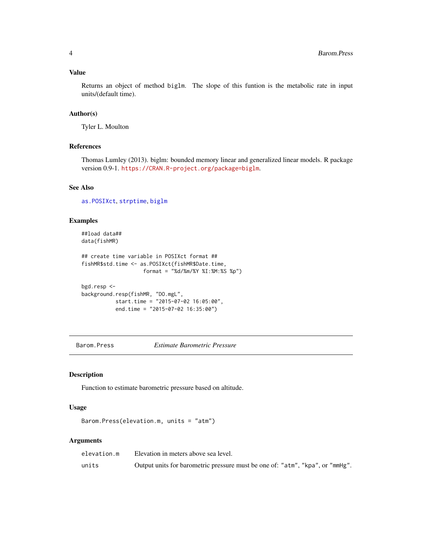# <span id="page-3-0"></span>Value

Returns an object of method biglm. The slope of this funtion is the metabolic rate in input units/(default time).

# Author(s)

Tyler L. Moulton

#### References

Thomas Lumley (2013). biglm: bounded memory linear and generalized linear models. R package version 0.9-1. <https://CRAN.R-project.org/package=biglm>.

#### See Also

[as.POSIXct](#page-0-0), [strptime](#page-0-0), [biglm](#page-0-0)

# Examples

```
##load data##
data(fishMR)
## create time variable in POSIXct format ##
fishMR$std.time <- as.POSIXct(fishMR$Date.time,
                    format = "%d/%m/%Y %I:%M:%S %p")
bgd.resp <-
background.resp(fishMR, "DO.mgL",
           start.time = "2015-07-02 16:05:00",
           end.time = "2015-07-02 16:35:00")
```
<span id="page-3-1"></span>Barom.Press *Estimate Barometric Pressure*

# Description

Function to estimate barometric pressure based on altitude.

#### Usage

```
Barom.Press(elevation.m, units = "atm")
```

| elevation.m | Elevation in meters above sea level.                                          |
|-------------|-------------------------------------------------------------------------------|
| units       | Output units for barometric pressure must be one of: "atm", "kpa", or "mmHg". |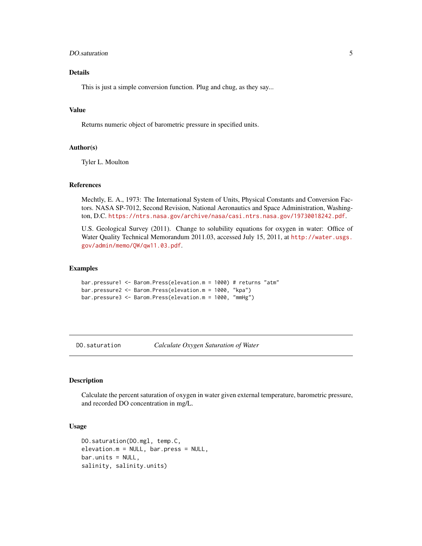# <span id="page-4-0"></span>DO.saturation 5

# Details

This is just a simple conversion function. Plug and chug, as they say...

# Value

Returns numeric object of barometric pressure in specified units.

# Author(s)

Tyler L. Moulton

#### References

Mechtly, E. A., 1973: The International System of Units, Physical Constants and Conversion Factors. NASA SP-7012, Second Revision, National Aeronautics and Space Administration, Washington, D.C. <https://ntrs.nasa.gov/archive/nasa/casi.ntrs.nasa.gov/19730018242.pdf>.

U.S. Geological Survey (2011). Change to solubility equations for oxygen in water: Office of Water Quality Technical Memorandum 2011.03, accessed July 15, 2011, at [http://water.usgs.](http://water.usgs.gov/admin/memo/QW/qw11.03.pdf) [gov/admin/memo/QW/qw11.03.pdf](http://water.usgs.gov/admin/memo/QW/qw11.03.pdf).

#### Examples

```
bar.pressure1 <- Barom.Press(elevation.m = 1000) # returns "atm"
bar.pressure2 <- Barom.Press(elevation.m = 1000, "kpa")
bar.pressure3 <- Barom.Press(elevation.m = 1000, "mmHg")
```
<span id="page-4-1"></span>DO.saturation *Calculate Oxygen Saturation of Water*

#### Description

Calculate the percent saturation of oxygen in water given external temperature, barometric pressure, and recorded DO concentration in mg/L.

#### Usage

```
DO.saturation(DO.mgl, temp.C,
elevation.m = NULL, bar.press = NULL,
bar.units = NULL,
salinity, salinity.units)
```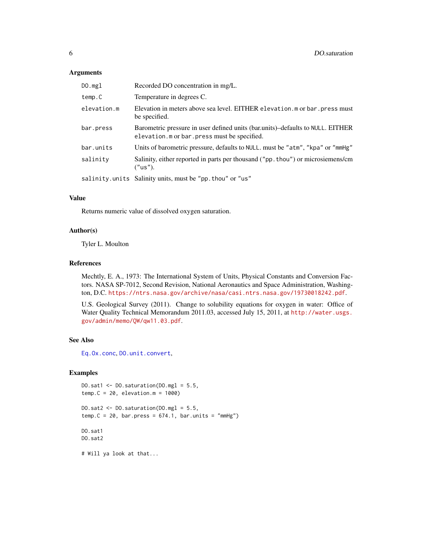#### <span id="page-5-0"></span>Arguments

| DO.mgl      | Recorded DO concentration in mg/L.                                                                                              |
|-------------|---------------------------------------------------------------------------------------------------------------------------------|
| temp.C      | Temperature in degrees C.                                                                                                       |
| elevation.m | Elevation in meters above sea level. EITHER elevation. m or bar. press must<br>be specified.                                    |
| bar.press   | Barometric pressure in user defined units (bar.units)-defaults to NULL. EITHER<br>elevation. m or bar. press must be specified. |
| bar.units   | Units of barometric pressure, defaults to NULL, must be "atm", "kpa" or "mmHg"                                                  |
| salinity    | Salinity, either reported in parts per thousand ("pp. thou") or microsiemens/cm<br>("us").                                      |
|             | salinity.units Salinity units, must be "pp.thou" or "us"                                                                        |

# Value

Returns numeric value of dissolved oxygen saturation.

#### Author(s)

Tyler L. Moulton

# References

Mechtly, E. A., 1973: The International System of Units, Physical Constants and Conversion Factors. NASA SP-7012, Second Revision, National Aeronautics and Space Administration, Washington, D.C. <https://ntrs.nasa.gov/archive/nasa/casi.ntrs.nasa.gov/19730018242.pdf>.

U.S. Geological Survey (2011). Change to solubility equations for oxygen in water: Office of Water Quality Technical Memorandum 2011.03, accessed July 15, 2011, at [http://water.usgs.](http://water.usgs.gov/admin/memo/QW/qw11.03.pdf) [gov/admin/memo/QW/qw11.03.pdf](http://water.usgs.gov/admin/memo/QW/qw11.03.pdf).

#### See Also

[Eq.Ox.conc](#page-8-1), [DO.unit.convert](#page-6-1),

```
DO.sat1 <- DO.saturation(DO.mgl = 5.5,
temp.C = 20, elevation.m = 1000)
DO.sat2 \leq DO.saturation(DO.mgl = 5.5,
temp.C = 20, bar.press = 674.1, bar.units = "mmHg")DO.sat1
DO.sat2
```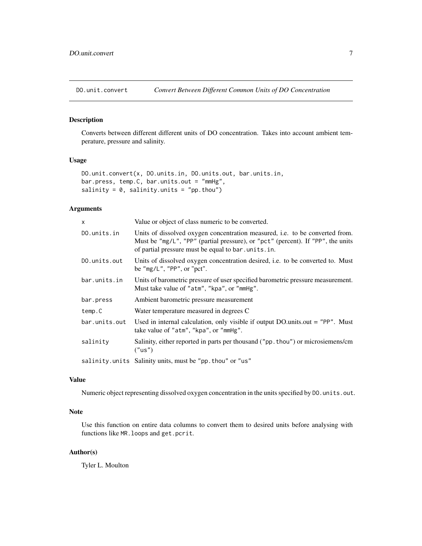<span id="page-6-1"></span><span id="page-6-0"></span>

#### Description

Converts between different different units of DO concentration. Takes into account ambient temperature, pressure and salinity.

# Usage

```
DO.unit.convert(x, DO.units.in, DO.units.out, bar.units.in,
bar.press, temp.C, bar.units.out = "mmHg",
salinity = 0, salinity.units = "pp.thou")
```
# Arguments

| $\times$      | Value or object of class numeric to be converted.                                                                                                                                                                     |
|---------------|-----------------------------------------------------------------------------------------------------------------------------------------------------------------------------------------------------------------------|
| DO.units.in   | Units of dissolved oxygen concentration measured, i.e. to be converted from.<br>Must be "mg/L", "PP" (partial pressure), or "pct" (percent). If "PP", the units<br>of partial pressure must be equal to bar.units.in. |
| DO.units.out  | Units of dissolved oxygen concentration desired, <i>i.e.</i> to be converted to. Must<br>be " $mg/L$ ", "PP", or "pct".                                                                                               |
| bar.units.in  | Units of barometric pressure of user specified barometric pressure measurement.<br>Must take value of "atm", "kpa", or "mmHg".                                                                                        |
| bar.press     | Ambient barometric pressure measurement                                                                                                                                                                               |
| temp.C        | Water temperature measured in degrees C                                                                                                                                                                               |
| bar.units.out | Used in internal calculation, only visible if output DO.units.out = "PP". Must<br>take value of "atm", "kpa", or "mmHg".                                                                                              |
| salinity      | Salinity, either reported in parts per thousand ("pp. thou") or microsiemens/cm<br>("us")                                                                                                                             |
|               | salinity.units Salinity units, must be "pp. thou" or "us"                                                                                                                                                             |

# Value

Numeric object representing dissolved oxygen concentration in the units specified by DO.units.out.

# Note

Use this function on entire data columns to convert them to desired units before analysing with functions like MR.loops and get.pcrit.

# Author(s)

Tyler L. Moulton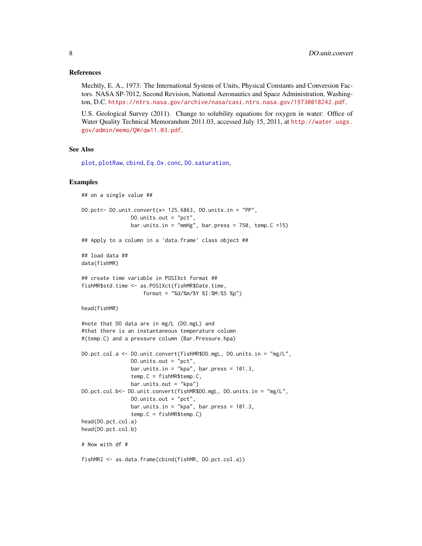#### <span id="page-7-0"></span>References

Mechtly, E. A., 1973: The International System of Units, Physical Constants and Conversion Factors. NASA SP-7012, Second Revision, National Aeronautics and Space Administration, Washington, D.C. <https://ntrs.nasa.gov/archive/nasa/casi.ntrs.nasa.gov/19730018242.pdf>.

U.S. Geological Survey (2011). Change to solubility equations for oxygen in water: Office of Water Quality Technical Memorandum 2011.03, accessed July 15, 2011, at [http://water.usgs.](http://water.usgs.gov/admin/memo/QW/qw11.03.pdf) [gov/admin/memo/QW/qw11.03.pdf](http://water.usgs.gov/admin/memo/QW/qw11.03.pdf).

#### See Also

[plot](#page-0-0), [plotRaw](#page-18-1), [cbind](#page-0-0), [Eq.Ox.conc](#page-8-1), [DO.saturation](#page-4-1),

```
## on a single value ##
DO.pct <- DO.unit.convert(x= 125.6863, DO.units.in = "PP",
                DO.units.out = "pct",
                bar.units.in = "mmHg", bar.press = 750, temp.C =15)
## Apply to a column in a 'data.frame' class object ##
## load data ##
data(fishMR)
## create time variable in POSIXct format ##
fishMR$std.time <- as.POSIXct(fishMR$Date.time,
                   format = "%d/%m/%Y %I:%M:%S %p")
head(fishMR)
#note that DO data are in mg/L (DO.mgL) and
#that there is an instantaneous temperature column
#(temp.C) and a pressure column (Bar.Pressure.hpa)
DO.pct.col.a <- DO.unit.convert(fishMR$DO.mgL, DO.units.in = "mg/L",
                DO.units.out = "pct",
                bar.units.in = "kpa", bar.press = 101.3,
                temp.C = fishMR$temp.C,
                bar.units.out = "kpa")
DO.pct.col.b<- DO.unit.convert(fishMR$DO.mgL, DO.units.in = "mg/L",
                DO.units.out = "pct",
                bar.units.in = "kpa", bar.press = 101.3,
                temp.C = fishMR$temp.C)
head(DO.pct.col.a)
head(DO.pct.col.b)
# Now with df #
fishMR2 <- as.data.frame(cbind(fishMR, DO.pct.col.a))
```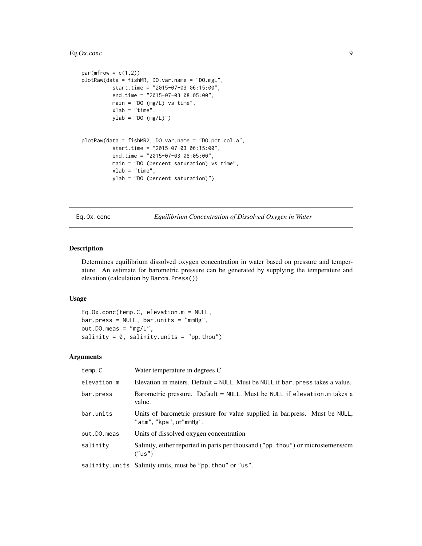# <span id="page-8-0"></span>Eq.Ox.conc 9

```
par(mfrow = c(1,2))plotRaw(data = fishMR, DO.var.name = "DO.mgL",
         start.time = "2015-07-03 06:15:00",
         end.time = "2015-07-03 08:05:00",
         main = "DO (mg/L) vs time",xlab = "time",
         ylab = "DO (mg/L)")plotRaw(data = fishMR2, DO.var.name = "DO.pct.col.a",
         start.time = "2015-07-03 06:15:00",
         end.time = "2015-07-03 08:05:00",
         main = "DO (percent saturation) vs time",
         xlab = "time",ylab = "DO (percent saturation)")
```
<span id="page-8-1"></span>Eq.Ox.conc *Equilibrium Concentration of Dissolved Oxygen in Water*

# Description

Determines equilibrium dissolved oxygen concentration in water based on pressure and temperature. An estimate for barometric pressure can be generated by supplying the temperature and elevation (calculation by Barom.Press())

# Usage

Eq.Ox.conc(temp.C, elevation.m = NULL, bar.press = NULL, bar.units = "mmHg", out.DO.meas = "mg/L", salinity =  $0$ , salinity.units = "pp.thou")

| temp.C      | Water temperature in degrees C                                                                         |
|-------------|--------------------------------------------------------------------------------------------------------|
| elevation.m | Elevation in meters. Default $=$ NULL. Must be NULL if bar. press takes a value.                       |
| bar.press   | Barometric pressure. Default = NULL. Must be NULL if elevation. m takes a<br>value.                    |
| bar.units   | Units of barometric pressure for value supplied in bar.press. Must be NULL,<br>"atm", "kpa", or"mmHg". |
| out.DO.meas | Units of dissolved oxygen concentration                                                                |
| salinity    | Salinity, either reported in parts per thousand ("pp. thou") or microsiemens/cm<br>("us")              |
|             | salinity.units Salinity units, must be "pp.thou" or "us".                                              |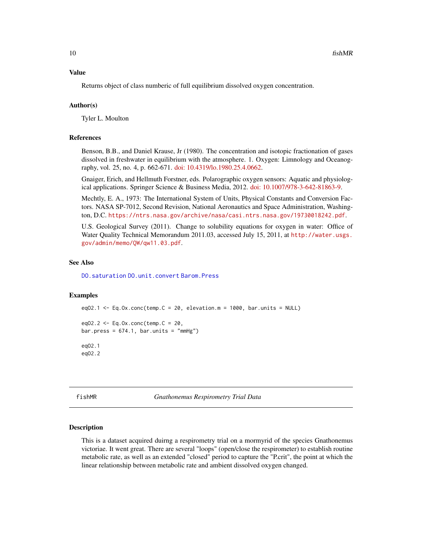#### <span id="page-9-0"></span>Value

Returns object of class numberic of full equilibrium dissolved oxygen concentration.

#### Author(s)

Tyler L. Moulton

#### References

Benson, B.B., and Daniel Krause, Jr (1980). The concentration and isotopic fractionation of gases dissolved in freshwater in equilibrium with the atmosphere. 1. Oxygen: Limnology and Oceanography, vol. 25, no. 4, p. 662-671. [doi: 10.4319/lo.1980.25.4.0662.](http://doi.org/10.4319/lo.1980.25.4.0662)

Gnaiger, Erich, and Hellmuth Forstner, eds. Polarographic oxygen sensors: Aquatic and physiological applications. Springer Science & Business Media, 2012. [doi: 10.1007/978-3-642-81863-9.](http://doi.org/10.1007/978-3-642-81863-9)

Mechtly, E. A., 1973: The International System of Units, Physical Constants and Conversion Factors. NASA SP-7012, Second Revision, National Aeronautics and Space Administration, Washington, D.C. <https://ntrs.nasa.gov/archive/nasa/casi.ntrs.nasa.gov/19730018242.pdf>.

U.S. Geological Survey (2011). Change to solubility equations for oxygen in water: Office of Water Quality Technical Memorandum 2011.03, accessed July 15, 2011, at [http://water.usgs.](http://water.usgs.gov/admin/memo/QW/qw11.03.pdf) [gov/admin/memo/QW/qw11.03.pdf](http://water.usgs.gov/admin/memo/QW/qw11.03.pdf).

#### See Also

[DO.saturation](#page-4-1) [DO.unit.convert](#page-6-1) [Barom.Press](#page-3-1)

#### Examples

```
eq02.1 \leq Eq.Ox.conc(temp.C = 20, elevation.m = 1000, bar.units = NULL)
eq02.2 < -Eq.0x.conc(temp.C = 20,bar.press = 674.1, bar.units = "mmHg")eqO2.1
eqO2.2
```
fishMR *Gnathonemus Respirometry Trial Data*

#### Description

This is a dataset acquired duirng a respirometry trial on a mormyrid of the species Gnathonemus victoriae. It went great. There are several "loops" (open/close the respirometer) to establish routine metabolic rate, as well as an extended "closed" period to capture the "P.crit", the point at which the linear relationship between metabolic rate and ambient dissolved oxygen changed.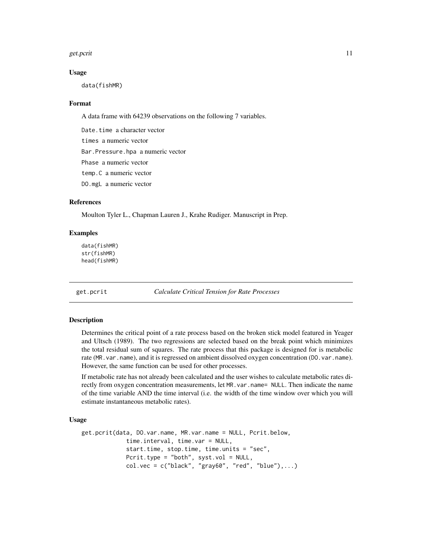#### <span id="page-10-0"></span>get.pcrit 11

#### Usage

data(fishMR)

#### Format

A data frame with 64239 observations on the following 7 variables.

Date.time a character vector times a numeric vector Bar.Pressure.hpa a numeric vector Phase a numeric vector temp.C a numeric vector DO.mgL a numeric vector

#### References

Moulton Tyler L., Chapman Lauren J., Krahe Rudiger. Manuscript in Prep.

#### Examples

data(fishMR) str(fishMR) head(fishMR)

<span id="page-10-1"></span>get.pcrit *Calculate Critical Tension for Rate Processes*

#### Description

Determines the critical point of a rate process based on the broken stick model featured in Yeager and Ultsch (1989). The two regressions are selected based on the break point which minimizes the total residual sum of squares. The rate process that this package is designed for is metabolic rate (MR.var.name), and it is regressed on ambient dissolved oxygen concentration (DO.var.name). However, the same function can be used for other processes.

If metabolic rate has not already been calculated and the user wishes to calculate metabolic rates directly from oxygen concentration measurements, let MR.var.name= NULL. Then indicate the name of the time variable AND the time interval (i.e. the width of the time window over which you will estimate instantaneous metabolic rates).

# Usage

```
get.pcrit(data, DO.var.name, MR.var.name = NULL, Pcrit.below,
             time.interval, time.var = NULL,
             start.time, stop.time, time.units = "sec",
            Pcrit.type = "both", syst.vol = NULL,
             col.vec = c("black", "gray60", "red", "blue"), ...
```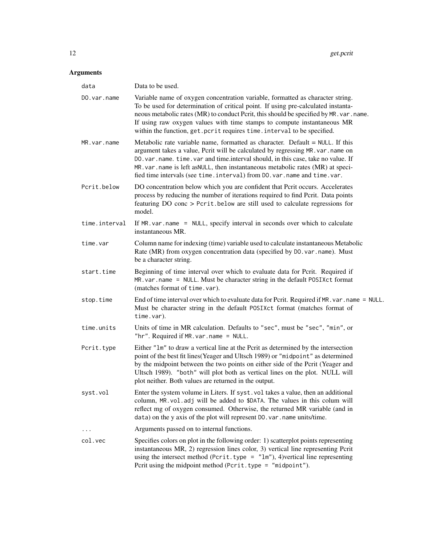| data          | Data to be used.                                                                                                                                                                                                                                                                                                                                                                                                      |
|---------------|-----------------------------------------------------------------------------------------------------------------------------------------------------------------------------------------------------------------------------------------------------------------------------------------------------------------------------------------------------------------------------------------------------------------------|
| DO.var.name   | Variable name of oxygen concentration variable, formatted as character string.<br>To be used for determination of critical point. If using pre-calculated instanta-<br>neous metabolic rates (MR) to conduct Pcrit, this should be specified by MR. var. name.<br>If using raw oxygen values with time stamps to compute instantaneous MR<br>within the function, get. pcrit requires time. interval to be specified. |
| MR.var.name   | Metabolic rate variable name, formatted as character. Default = NULL. If this<br>argument takes a value, Pcrit will be calculated by regressing MR. var. name on<br>DO. var. name. time. var and time.interval should, in this case, take no value. If<br>MR. var. name is left asNULL, then instantaneous metabolic rates (MR) at speci-<br>fied time intervals (see time.interval) from DO.var.name and time.var.   |
| Pcrit.below   | DO concentration below which you are confident that Pcrit occurs. Accelerates<br>process by reducing the number of iterations required to find Pcrit. Data points<br>featuring DO conc > Pcrit.below are still used to calculate regressions for<br>model.                                                                                                                                                            |
| time.interval | If MR. var. name = NULL, specify interval in seconds over which to calculate<br>instantaneous MR.                                                                                                                                                                                                                                                                                                                     |
| time.var      | Column name for indexing (time) variable used to calculate instantaneous Metabolic<br>Rate (MR) from oxygen concentration data (specified by DO. var. name). Must<br>be a character string.                                                                                                                                                                                                                           |
| start.time    | Beginning of time interval over which to evaluate data for Pcrit. Required if<br>MR. var. name = NULL. Must be character string in the default POSIXct format<br>(matches format of time.var).                                                                                                                                                                                                                        |
| stop.time     | End of time interval over which to evaluate data for Pcrit. Required if MR. var. name = NULL.<br>Must be character string in the default POSIXct format (matches format of<br>time.var).                                                                                                                                                                                                                              |
| time.units    | Units of time in MR calculation. Defaults to "sec", must be "sec", "min", or<br>"hr". Required if $MR \cdot var \cdot name = NULL$ .                                                                                                                                                                                                                                                                                  |
| Pcrit.type    | Either "1m" to draw a vertical line at the Pcrit as determined by the intersection<br>point of the best fit lines (Yeager and Ultsch 1989) or "midpoint" as determined<br>by the midpoint between the two points on either side of the Pcrit (Yeager and<br>Ultsch 1989). "both" will plot both as vertical lines on the plot. NULL will<br>plot neither. Both values are returned in the output.                     |
| syst.vol      | Enter the system volume in Liters. If syst. vol takes a value, then an additional<br>column, MR. vol. adj will be added to \$DATA. The values in this colum will<br>reflect mg of oxygen consumed. Otherwise, the returned MR variable (and in<br>data) on the y axis of the plot will represent DO. var. name units/time.                                                                                            |
| $\cdots$      | Arguments passed on to internal functions.                                                                                                                                                                                                                                                                                                                                                                            |
| col.vec       | Specifies colors on plot in the following order: 1) scatterplot points representing<br>instantaneous MR, 2) regression lines color, 3) vertical line representing Pcrit<br>using the intersect method (Pcrit.type = $"lm"$ ), 4)vertical line representing<br>Pcrit using the midpoint method ( $Pcrit. type = "midpoint").$                                                                                          |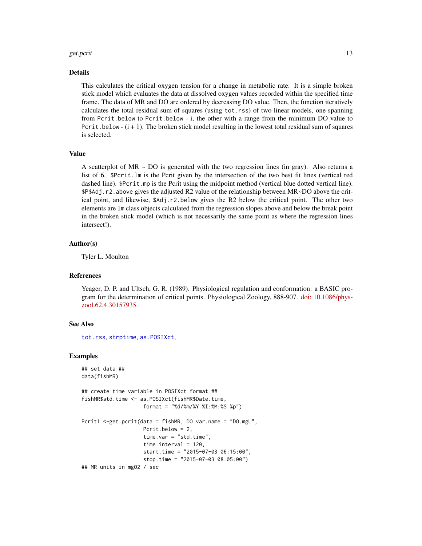#### <span id="page-12-0"></span>get.pcrit 13

#### Details

This calculates the critical oxygen tension for a change in metabolic rate. It is a simple broken stick model which evaluates the data at dissolved oxygen values recorded within the specified time frame. The data of MR and DO are ordered by decreasing DO value. Then, the function iteratively calculates the total residual sum of squares (using tot.rss) of two linear models, one spanning from Pcrit.below to Pcrit.below - i, the other with a range from the minimum DO value to Pcrit.below  $(i + 1)$ . The broken stick model resulting in the lowest total residual sum of squares is selected.

#### Value

A scatterplot of  $MR \sim DO$  is generated with the two regression lines (in gray). Also returns a list of 6. \$Pcrit.lm is the Pcrit given by the intersection of the two best fit lines (vertical red dashed line). \$Pcrit.mp is the Pcrit using the midpoint method (vertical blue dotted vertical line). \$P\$Adj.r2.above gives the adjusted R2 value of the relationship between MR~DO above the critical point, and likewise, \$Adj.r2.below gives the R2 below the critical point. The other two elements are lm class objects calculated from the regression slopes above and below the break point in the broken stick model (which is not necessarily the same point as where the regression lines intersect!).

#### Author(s)

Tyler L. Moulton

#### **References**

Yeager, D. P. and Ultsch, G. R. (1989). Physiological regulation and conformation: a BASIC program for the determination of critical points. Physiological Zoology, 888-907. [doi: 10.1086/phys](http://doi.org/10.1086/physzool.62.4.30157935)[zool.62.4.30157935.](http://doi.org/10.1086/physzool.62.4.30157935)

#### See Also

[tot.rss](#page-20-1), [strptime](#page-0-0), [as.POSIXct](#page-0-0),

```
## set data ##
data(fishMR)
## create time variable in POSIXct format ##
fishMR$std.time <- as.POSIXct(fishMR$Date.time,
                    format = "%d/%m/%Y %I:%M:%S %p")
Pcrit1 <-get.pcrit(data = fishMR, DO.var.name = "DO.mgL",
                    Pcrit.below = 2,
                    time.var = "std.time",
                    time.interval = 120,
                    start.time = "2015-07-03 06:15:00",
                    stop.time = "2015-07-03 08:05:00")
## MR units in mgO2 / sec
```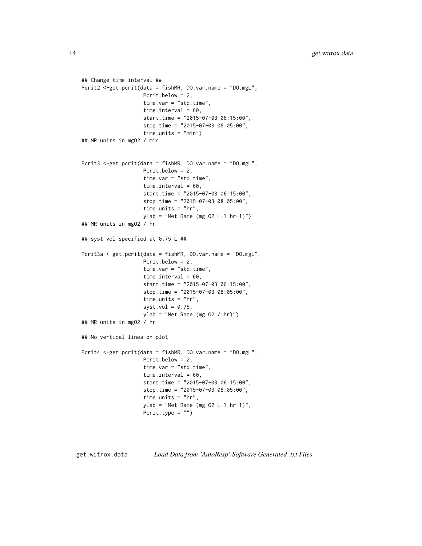```
## Change time interval ##
Pcrit2 <-get.pcrit(data = fishMR, DO.var.name = "DO.mgL",
                    Pcrit.below = 2,
                    time.var = "std.time",
                    time.interval = 60,
                    start.time = "2015-07-03 06:15:00",
                    stop.time = "2015-07-03 08:05:00",
                    time.units = "min")
## MR units in mgO2 / min
Pcrit3 <-get.pcrit(data = fishMR, DO.var.name = "DO.mgL",
                    Pcrit.below = 2,
                    time.var = "std.time",
                    time.interval = 60,
                    start.time = "2015-07-03 06:15:00",
                    stop.time = "2015-07-03 08:05:00",
                    time.units = "hr",
                    ylab = "Met Rate (mg 02 L-1 hr-1)")## MR units in mgO2 / hr
## syst vol specified at 0.75 L ##
Pcrit3a <-get.pcrit(data = fishMR, DO.var.name = "DO.mgL",
                    Pcrit.below = 2,
                    time.var = "std.time",
                    time.interval = 60,
                    start.time = "2015-07-03 06:15:00",
                    stop.time = "2015-07-03 08:05:00",
                    time.units = "hr",
                    syst.vol = 0.75,
                    ylab = "Met Rate (mg 02 / hr)")## MR units in mgO2 / hr
## No vertical lines on plot
Pcrit4 <-get.pcrit(data = fishMR, DO.var.name = "DO.mgL",
                    Pcrit.below = 2,
                    time.var = "std.time",
                    time.interval = 60,
                    start.time = "2015-07-03 06:15:00",
                    stop.time = "2015-07-03 08:05:00",
                    time.units = "hr",
                    ylab = "Met Rate (mg O2 L-1 hr-1)",
                    Pcrit.type = "")
```
get.witrox.data *Load Data from 'AutoResp' Software Generated .txt Files*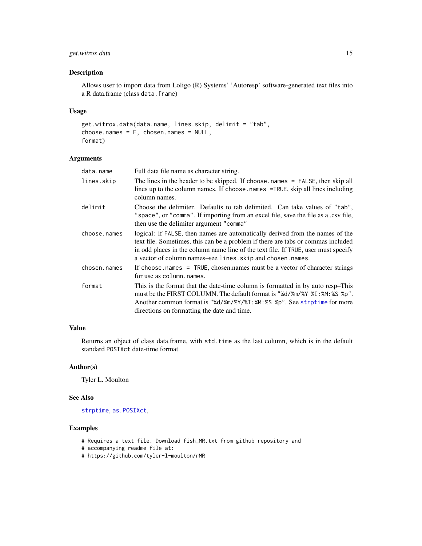# <span id="page-14-0"></span>get.witrox.data 15

# Description

Allows user to import data from Loligo (R) Systems' 'Autoresp' software-generated text files into a R data.frame (class data.frame)

# Usage

```
get.witrox.data(data.name, lines.skip, delimit = "tab",
choose.names = F, chosen.names = NULL,
format)
```
# Arguments

| data.name    | Full data file name as character string.                                                                                                                                                                                                                                                                               |
|--------------|------------------------------------------------------------------------------------------------------------------------------------------------------------------------------------------------------------------------------------------------------------------------------------------------------------------------|
| lines.skip   | The lines in the header to be skipped. If choose names $=$ FALSE, then skip all<br>lines up to the column names. If choose names =TRUE, skip all lines including<br>column names.                                                                                                                                      |
| delimit      | Choose the delimiter. Defaults to tab delimited. Can take values of "tab",<br>"space", or "comma". If importing from an excel file, save the file as a .csv file,<br>then use the delimiter argument "comma"                                                                                                           |
| choose.names | logical: if FALSE, then names are automatically derived from the names of the<br>text file. Sometimes, this can be a problem if there are tabs or commas included<br>in odd places in the column name line of the text file. If TRUE, user must specify<br>a vector of column names-see lines. skip and chosen. names. |
| chosen.names | If choose names = TRUE, chosen names must be a vector of character strings<br>for use as column. names.                                                                                                                                                                                                                |
| format       | This is the format that the date-time column is formatted in by auto resp-This<br>must be the FIRST COLUMN. The default format is "%d/%m/%Y %I: %M: %S %p".<br>Another common format is "%d/%m/%Y/%I:%M:%S %p". See strptime for more<br>directions on formatting the date and time.                                   |

# Value

Returns an object of class data.frame, with std.time as the last column, which is in the default standard POSIXct date-time format.

#### Author(s)

Tyler L. Moulton

#### See Also

[strptime](#page-0-0), [as.POSIXct](#page-0-0),

- # Requires a text file. Download fish\_MR.txt from github repository and
- # accompanying readme file at:
- # https://github.com/tyler-l-moulton/rMR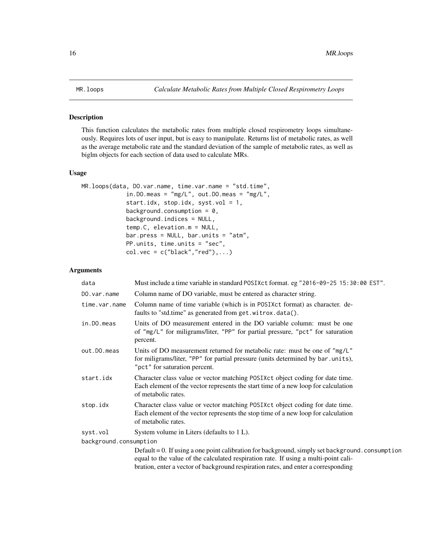<span id="page-15-1"></span><span id="page-15-0"></span>

# Description

This function calculates the metabolic rates from multiple closed respirometry loops simultaneously. Requires lots of user input, but is easy to manipulate. Returns list of metabolic rates, as well as the average metabolic rate and the standard deviation of the sample of metabolic rates, as well as biglm objects for each section of data used to calculate MRs.

# Usage

```
MR.loops(data, DO.var.name, time.var.name = "std.time",
             in.DO.meas = mg/L", out.DO.meas = "mg/L",
             start.idx, stop.idx, syst.vol = 1,
             background.consumption = 0,
             background.indices = NULL,
             temp.C, elevation.m = NULL,
             bar.press = NULL, bar.units = "atm",
             PP.units, time.units = "sec",
             col.vec = c("black", "red"), ...
```

| data                   | Must include a time variable in standard POSIXct format. eg "2016-09-25 15:30:00 EST".                                                                                                                                                                                        |
|------------------------|-------------------------------------------------------------------------------------------------------------------------------------------------------------------------------------------------------------------------------------------------------------------------------|
| DO.var.name            | Column name of DO variable, must be entered as character string.                                                                                                                                                                                                              |
| time.var.name          | Column name of time variable (which is in POSIXct format) as character. de-<br>faults to "std.time" as generated from get.witrox.data().                                                                                                                                      |
| in.DO.meas             | Units of DO measurement entered in the DO variable column: must be one<br>of "mg/L" for miligrams/liter, "PP" for partial pressure, "pct" for saturation<br>percent.                                                                                                          |
| out.DO.meas            | Units of DO measurement returned for metabolic rate: must be one of "mg/L"<br>for miligrams/liter, "PP" for partial pressure (units determined by bar.units),<br>"pct" for saturation percent.                                                                                |
| start.idx              | Character class value or vector matching POSIXct object coding for date time.<br>Each element of the vector represents the start time of a new loop for calculation<br>of metabolic rates.                                                                                    |
| stop.idx               | Character class value or vector matching POSIXct object coding for date time.<br>Each element of the vector represents the stop time of a new loop for calculation<br>of metabolic rates.                                                                                     |
| syst.vol               | System volume in Liters (defaults to 1 L).                                                                                                                                                                                                                                    |
| background.consumption |                                                                                                                                                                                                                                                                               |
|                        | Default = 0. If using a one point calibration for background, simply set background. consumption<br>equal to the value of the calculated respiration rate. If using a multi-point cali-<br>bration, enter a vector of background respiration rates, and enter a corresponding |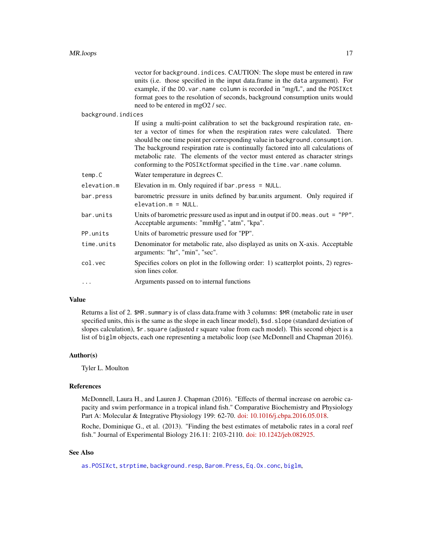<span id="page-16-0"></span>

|                    | vector for background. indices. CAUTION: The slope must be entered in raw<br>units (i.e. those specified in the input data.frame in the data argument). For<br>example, if the DO. var. name column is recorded in "mg/L", and the POSIXct<br>format goes to the resolution of seconds, background consumption units would<br>need to be entered in mgO2 / sec.                                                                                                                              |
|--------------------|----------------------------------------------------------------------------------------------------------------------------------------------------------------------------------------------------------------------------------------------------------------------------------------------------------------------------------------------------------------------------------------------------------------------------------------------------------------------------------------------|
| background.indices |                                                                                                                                                                                                                                                                                                                                                                                                                                                                                              |
|                    | If using a multi-point calibration to set the background respiration rate, en-<br>ter a vector of times for when the respiration rates were calculated. There<br>should be one time point per corresponding value in background.consumption.<br>The background respiration rate is continually factored into all calculations of<br>metabolic rate. The elements of the vector must entered as character strings<br>conforming to the POSIXctformat specified in the time. var. name column. |
| temp.C             | Water temperature in degrees C.                                                                                                                                                                                                                                                                                                                                                                                                                                                              |
| elevation.m        | Elevation in m. Only required if $bar. press = NULL$ .                                                                                                                                                                                                                                                                                                                                                                                                                                       |
| bar.press          | barometric pressure in units defined by bar.units argument. Only required if<br>$e$ levation. $m = NULL$ .                                                                                                                                                                                                                                                                                                                                                                                   |
| bar.units          | Units of barometric pressure used as input and in output if $DO$ . meas. out = "PP".<br>Acceptable arguments: "mmHg", "atm", "kpa".                                                                                                                                                                                                                                                                                                                                                          |
| PP.units           | Units of barometric pressure used for "PP".                                                                                                                                                                                                                                                                                                                                                                                                                                                  |
| time.units         | Denominator for metabolic rate, also displayed as units on X-axis. Acceptable<br>arguments: "hr", "min", "sec".                                                                                                                                                                                                                                                                                                                                                                              |
| col.vec            | Specifies colors on plot in the following order: 1) scatterplot points, 2) regres-<br>sion lines color.                                                                                                                                                                                                                                                                                                                                                                                      |
| .                  | Arguments passed on to internal functions                                                                                                                                                                                                                                                                                                                                                                                                                                                    |

# Value

Returns a list of 2. \$MR.summary is of class data.frame with 3 columns: \$MR (metabolic rate in user specified units, this is the same as the slope in each linear model), \$sd.slope (standard deviation of slopes calculation), \$r.square (adjusted r square value from each model). This second object is a list of biglm objects, each one representing a metabolic loop (see McDonnell and Chapman 2016).

#### Author(s)

Tyler L. Moulton

#### References

McDonnell, Laura H., and Lauren J. Chapman (2016). "Effects of thermal increase on aerobic capacity and swim performance in a tropical inland fish." Comparative Biochemistry and Physiology Part A: Molecular & Integrative Physiology 199: 62-70. [doi: 10.1016/j.cbpa.2016.05.018.](http://doi.org/10.1016/j.cbpa.2016.05.018)

Roche, Dominique G., et al. (2013). "Finding the best estimates of metabolic rates in a coral reef fish." Journal of Experimental Biology 216.11: 2103-2110. [doi: 10.1242/jeb.082925.](http://doi.org/10.1242/jeb.082925)

# See Also

[as.POSIXct](#page-0-0), [strptime](#page-0-0), [background.resp](#page-2-1), [Barom.Press](#page-3-1), [Eq.Ox.conc](#page-8-1), [biglm](#page-0-0),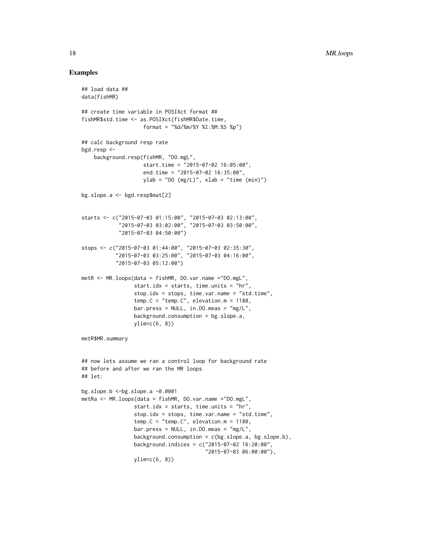```
## load data ##
data(fishMR)
## create time variable in POSIXct format ##
fishMR$std.time <- as.POSIXct(fishMR$Date.time,
                    format = "%d/%m/%Y %I:%M:%S %p")
## calc background resp rate
bgd.resp <-
    background.resp(fishMR, "DO.mgL",
                    start.time = "2015-07-02 16:05:00",
                    end.time = "2015-07-02 16:35:00",
                    ylab = "DO (mg/L)", xlab = "time (min)")bg.slope.a <- bgd.resp$mat[2]
starts <- c("2015-07-03 01:15:00", "2015-07-03 02:13:00",
            "2015-07-03 03:02:00", "2015-07-03 03:50:00",
            "2015-07-03 04:50:00")
stops <- c("2015-07-03 01:44:00", "2015-07-03 02:35:30",
           "2015-07-03 03:25:00", "2015-07-03 04:16:00",
           "2015-07-03 05:12:00")
metR <- MR.loops(data = fishMR, DO.var.name ="DO.mgL",
                 start.idx = starts, time.units = "hr",
                 stop.idx = stops, time.var.name = "std.time",
                 temp.C = "temp.C", elevation.m = 1180,
                 bar.press = NULL, in.DO.meas = "mg/L",
                 background.consumption = bg.slope.a,
                 ylim=c(6, 8))
metR$MR.summary
## now lets assume we ran a control loop for background rate
## before and after we ran the MR loops
## let:
bg.slope.b \le-bg.slope.a -0.0001metRa <- MR.loops(data = fishMR, DO.var.name ="DO.mgL",
                 start.idx = starts, time.units = "hr",
                 stop.idx = stops, time.var.name = "std.time",
                 temp.C = "temp.C", elevation.m = 1180,
                 bar.press = NULL, in.DO.meas = "mg/L",
                 background.consumption = c(bg.slope.a, bg.slope.b),
                 background.indices = c("2015-07-02 16:20:00",
                                        "2015-07-03 06:00:00"),
                 ylim=c(6, 8))
```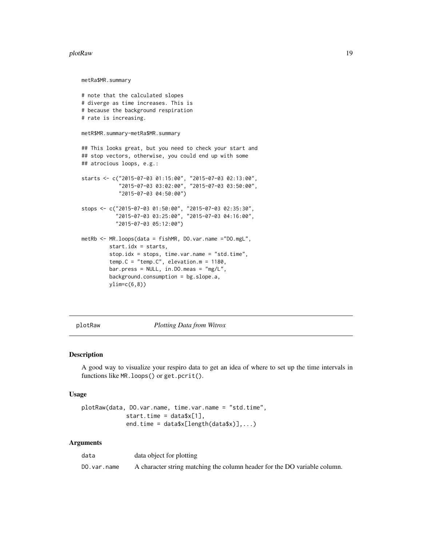#### <span id="page-18-0"></span>plotRaw the contract of the contract of the contract of the contract of the contract of the contract of the contract of the contract of the contract of the contract of the contract of the contract of the contract of the co

metRa\$MR.summary

```
# note that the calculated slopes
# diverge as time increases. This is
# because the background respiration
# rate is increasing.
metR$MR.summary-metRa$MR.summary
## This looks great, but you need to check your start and
## stop vectors, otherwise, you could end up with some
## atrocious loops, e.g.:
starts <- c("2015-07-03 01:15:00", "2015-07-03 02:13:00",
            "2015-07-03 03:02:00", "2015-07-03 03:50:00",
            "2015-07-03 04:50:00")
stops <- c("2015-07-03 01:50:00", "2015-07-03 02:35:30",
           "2015-07-03 03:25:00", "2015-07-03 04:16:00",
           "2015-07-03 05:12:00")
metRb <- MR.loops(data = fishMR, DO.var.name ="DO.mgL",
         start.idx = starts,
         stop.idx = stops, time.var.name = "std.time",
         temp.C = "temp.C", elevation.m = 1180,
         bar.press = NULL, in. DO.meas = "mg/L",
         background.consumption = bg.slope.a,
         ylim=c(6,8))
```
<span id="page-18-1"></span>

plotRaw *Plotting Data from Witrox*

#### Description

A good way to visualize your respiro data to get an idea of where to set up the time intervals in functions like MR.loops() or get.pcrit().

#### Usage

```
plotRaw(data, DO.var.name, time.var.name = "std.time",
            start.time = data$x[1],end.time = data$x[length(data$x)],...)
```

| data        | data object for plotting                                                  |
|-------------|---------------------------------------------------------------------------|
| DO.var.name | A character string matching the column header for the DO variable column. |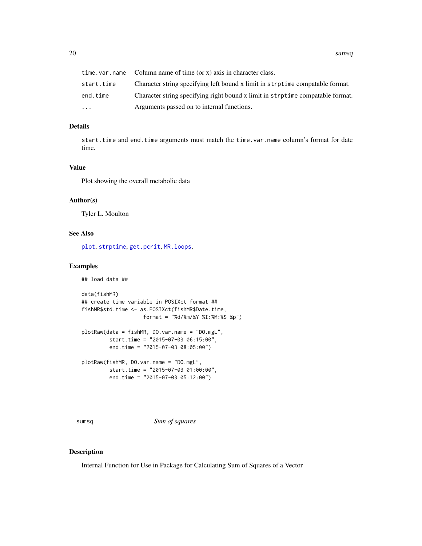<span id="page-19-0"></span>20 sumsq

|            | $time \cdot var \cdot name$ Column name of time (or x) axis in character class. |
|------------|---------------------------------------------------------------------------------|
| start.time | Character string specifying left bound x limit in strptime compatable format.   |
| end.time   | Character string specifying right bound x limit in strptime compatable format.  |
| .          | Arguments passed on to internal functions.                                      |

# Details

start.time and end.time arguments must match the time.var.name column's format for date time.

# Value

Plot showing the overall metabolic data

# Author(s)

Tyler L. Moulton

# See Also

[plot](#page-0-0), [strptime](#page-0-0), [get.pcrit](#page-10-1), [MR.loops](#page-15-1),

# Examples

```
## load data ##
data(fishMR)
## create time variable in POSIXct format ##
fishMR$std.time <- as.POSIXct(fishMR$Date.time,
                    format = "%d/%m/%Y %I:%M:%S %p")
plotRaw(data = fishMR, DO.var.name = "DO.mgL",
        start.time = "2015-07-03 06:15:00",
        end.time = "2015-07-03 08:05:00")
plotRaw(fishMR, DO.var.name = "DO.mgL",
        start.time = "2015-07-03 01:00:00",
        end.time = "2015-07-03 05:12:00")
```
<span id="page-19-1"></span>sumsq *Sum of squares*

# Description

Internal Function for Use in Package for Calculating Sum of Squares of a Vector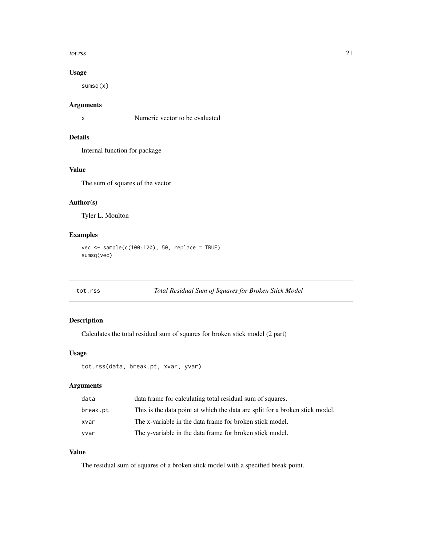#### <span id="page-20-0"></span>tot.rss 21

# Usage

sumsq(x)

# Arguments

x Numeric vector to be evaluated

# Details

Internal function for package

# Value

The sum of squares of the vector

# Author(s)

Tyler L. Moulton

# Examples

```
vec <- sample(c(100:120), 50, replace = TRUE)
sumsq(vec)
```

```
tot.rss Total Residual Sum of Squares for Broken Stick Model
```
# Description

Calculates the total residual sum of squares for broken stick model (2 part)

# Usage

```
tot.rss(data, break.pt, xvar, yvar)
```
# Arguments

| data     | data frame for calculating total residual sum of squares.                    |
|----------|------------------------------------------------------------------------------|
| break.pt | This is the data point at which the data are split for a broken stick model. |
| xvar     | The x-variable in the data frame for broken stick model.                     |
| yvar     | The y-variable in the data frame for broken stick model.                     |

# Value

The residual sum of squares of a broken stick model with a specified break point.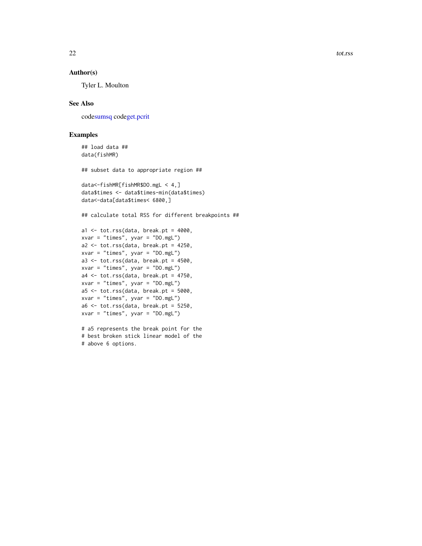<span id="page-21-0"></span>22 tot.rss

# Author(s)

Tyler L. Moulton

# See Also

cod[esumsq](#page-19-1) cod[eget.pcrit](#page-10-1)

# Examples

```
## load data ##
data(fishMR)
## subset data to appropriate region ##
data<-fishMR[fishMR$DO.mgL < 4,]
```
data\$times <- data\$times-min(data\$times) data<-data[data\$times< 6800,]

## calculate total RSS for different breakpoints ##

```
a1 \le tot.rss(data, break.pt = 4000,
xvar = "times", yvar = "DO.mgL")
a2 \le -\text{tot.rss}(data, break.pt = 4250,xvar = "times", yvar = "DO.mgl")a3 <- tot.rss(data, break.pt = 4500,
xvar = "times", yvar = "DO.mgL")
a4 <- tot.rss(data, break.pt = 4750,
xvar = "times", yvar = "DO.mgL")
a5 \le -\text{tot.rss}(data, break.pt = 5000,xvar = "times", yvar = "DO.mgl")a6 \leftarrow \text{tot.rss}(data, break.pt = 5250,xvar = "times", yvar = "DO.mgL")
```
# a5 represents the break point for the # best broken stick linear model of the # above 6 options.